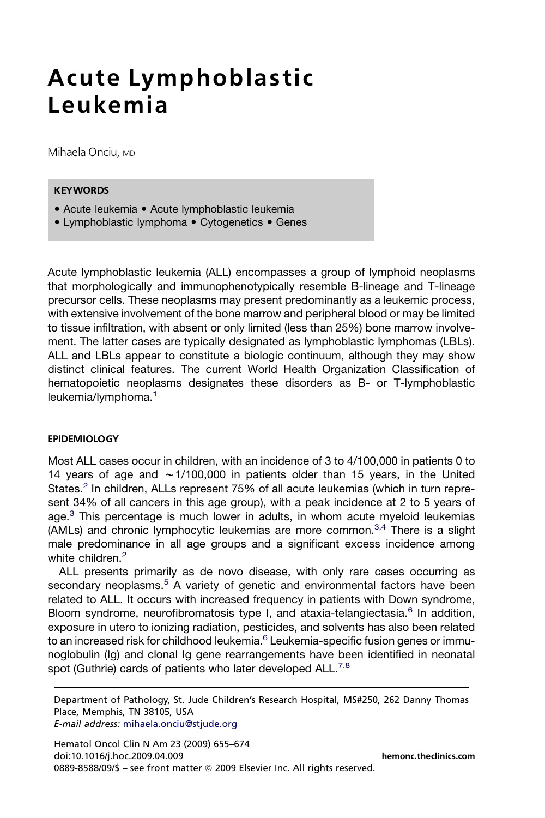# Acute Lymphoblastic Leukemia

Mihaela Onciu, MD

## **KEYWORDS**

- Acute leukemia Acute lymphoblastic leukemia
- Lymphoblastic lymphoma Cytogenetics Genes

Acute lymphoblastic leukemia (ALL) encompasses a group of lymphoid neoplasms that morphologically and immunophenotypically resemble B-lineage and T-lineage precursor cells. These neoplasms may present predominantly as a leukemic process, with extensive involvement of the bone marrow and peripheral blood or may be limited to tissue infiltration, with absent or only limited (less than 25%) bone marrow involvement. The latter cases are typically designated as lymphoblastic lymphomas (LBLs). ALL and LBLs appear to constitute a biologic continuum, although they may show distinct clinical features. The current World Health Organization Classification of hematopoietic neoplasms designates these disorders as B- or T-lymphoblastic leukemia/lymphoma.<sup>[1](#page-13-0)</sup>

#### EPIDEMIOLOGY

Most ALL cases occur in children, with an incidence of 3 to 4/100,000 in patients 0 to 14 years of age and  $\sim$  1/100,000 in patients older than 15 years, in the United States. $<sup>2</sup>$  $<sup>2</sup>$  $<sup>2</sup>$  In children, ALLs represent 75% of all acute leukemias (which in turn repre-</sup> sent 34% of all cancers in this age group), with a peak incidence at 2 to 5 years of age. $3$  This percentage is much lower in adults, in whom acute myeloid leukemias (AMLs) and chronic lymphocytic leukemias are more common.<sup>[3,4](#page-14-0)</sup> There is a slight male predominance in all age groups and a significant excess incidence among white children.<sup>[2](#page-13-0)</sup>

ALL presents primarily as de novo disease, with only rare cases occurring as secondary neoplasms.<sup>[5](#page-14-0)</sup> A variety of genetic and environmental factors have been related to ALL. It occurs with increased frequency in patients with Down syndrome, Bloom syndrome, neurofibromatosis type I, and ataxia-telangiectasia.<sup>[6](#page-14-0)</sup> In addition, exposure in utero to ionizing radiation, pesticides, and solvents has also been related to an increased risk for childhood leukemia.<sup>[6](#page-14-0)</sup> Leukemia-specific fusion genes or immunoglobulin (Ig) and clonal Ig gene rearrangements have been identified in neonatal spot (Guthrie) cards of patients who later developed ALL.<sup>[7,8](#page-14-0)</sup>

Department of Pathology, St. Jude Children's Research Hospital, MS#250, 262 Danny Thomas Place, Memphis, TN 38105, USA

E-mail address: [mihaela.onciu@stjude.org](mailto:mihaela.onciu@stjude.org)

Hematol Oncol Clin N Am 23 (2009) 655–674 doi:10.1016/j.hoc.2009.04.009 [hemonc.theclinics.com](http://hemonc.theclinics.com) 0889-8588/09/\$ - see front matter © 2009 Elsevier Inc. All rights reserved.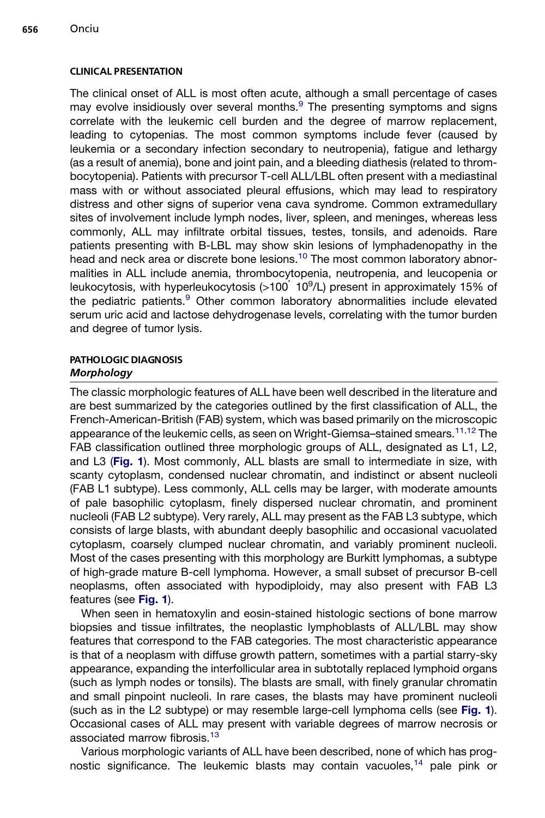#### CLINICAL PRESENTATION

The clinical onset of ALL is most often acute, although a small percentage of cases may evolve insidiously over several months. $9$  The presenting symptoms and signs correlate with the leukemic cell burden and the degree of marrow replacement, leading to cytopenias. The most common symptoms include fever (caused by leukemia or a secondary infection secondary to neutropenia), fatigue and lethargy (as a result of anemia), bone and joint pain, and a bleeding diathesis (related to thrombocytopenia). Patients with precursor T-cell ALL/LBL often present with a mediastinal mass with or without associated pleural effusions, which may lead to respiratory distress and other signs of superior vena cava syndrome. Common extramedullary sites of involvement include lymph nodes, liver, spleen, and meninges, whereas less commonly, ALL may infiltrate orbital tissues, testes, tonsils, and adenoids. Rare patients presenting with B-LBL may show skin lesions of lymphadenopathy in the head and neck area or discrete bone lesions.<sup>[10](#page-14-0)</sup> The most common laboratory abnormalities in ALL include anemia, thrombocytopenia, neutropenia, and leucopenia or leukocytosis, with hyperleukocytosis (>100<sup>´</sup> 10<sup>9</sup>/L) present in approximately 15% of the pediatric patients.<sup>[9](#page-14-0)</sup> Other common laboratory abnormalities include elevated serum uric acid and lactose dehydrogenase levels, correlating with the tumor burden and degree of tumor lysis.

#### PATHOLOGIC DIAGNOSIS Morphology

# The classic morphologic features of ALL have been well described in the literature and are best summarized by the categories outlined by the first classification of ALL, the French-American-British (FAB) system, which was based primarily on the microscopic appearance of the leukemic cells, as seen on Wright-Giemsa–stained smears.[11,12](#page-14-0) The FAB classification outlined three morphologic groups of ALL, designated as L1, L2, and L3 ([Fig. 1](#page-2-0)). Most commonly, ALL blasts are small to intermediate in size, with scanty cytoplasm, condensed nuclear chromatin, and indistinct or absent nucleoli (FAB L1 subtype). Less commonly, ALL cells may be larger, with moderate amounts of pale basophilic cytoplasm, finely dispersed nuclear chromatin, and prominent nucleoli (FAB L2 subtype). Very rarely, ALL may present as the FAB L3 subtype, which consists of large blasts, with abundant deeply basophilic and occasional vacuolated cytoplasm, coarsely clumped nuclear chromatin, and variably prominent nucleoli. Most of the cases presenting with this morphology are Burkitt lymphomas, a subtype of high-grade mature B-cell lymphoma. However, a small subset of precursor B-cell neoplasms, often associated with hypodiploidy, may also present with FAB L3 features (see [Fig. 1](#page-2-0)).

When seen in hematoxylin and eosin-stained histologic sections of bone marrow biopsies and tissue infiltrates, the neoplastic lymphoblasts of ALL/LBL may show features that correspond to the FAB categories. The most characteristic appearance is that of a neoplasm with diffuse growth pattern, sometimes with a partial starry-sky appearance, expanding the interfollicular area in subtotally replaced lymphoid organs (such as lymph nodes or tonsils). The blasts are small, with finely granular chromatin and small pinpoint nucleoli. In rare cases, the blasts may have prominent nucleoli (such as in the L2 subtype) or may resemble large-cell lymphoma cells (see [Fig. 1](#page-2-0)). Occasional cases of ALL may present with variable degrees of marrow necrosis or associated marrow fibrosis.[13](#page-14-0)

Various morphologic variants of ALL have been described, none of which has prognostic significance. The leukemic blasts may contain vacuoles, $14$  pale pink or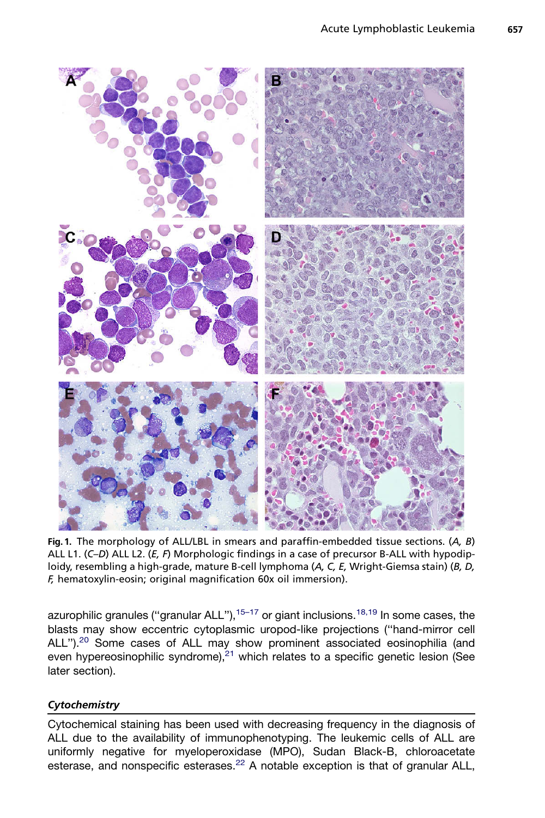<span id="page-2-0"></span>

Fig. 1. The morphology of ALL/LBL in smears and paraffin-embedded tissue sections.  $(A, B)$ ALL L1. (C–D) ALL L2. ( $E$ ,  $F$ ) Morphologic findings in a case of precursor B-ALL with hypodiploidy, resembling a high-grade, mature B-cell lymphoma (A, C, E, Wright-Giemsa stain) (B, D, F, hematoxylin-eosin; original magnification 60x oil immersion).

azurophilic granules ("granular ALL"),<sup>[15–17](#page-14-0)</sup> or giant inclusions.<sup>[18,19](#page-14-0)</sup> In some cases, the blasts may show eccentric cytoplasmic uropod-like projections (''hand-mirror cell ALL").<sup>[20](#page-14-0)</sup> Some cases of ALL may show prominent associated eosinophilia (and even hypereosinophilic syndrome), $21$  which relates to a specific genetic lesion (See later section).

# **Cytochemistry**

Cytochemical staining has been used with decreasing frequency in the diagnosis of ALL due to the availability of immunophenotyping. The leukemic cells of ALL are uniformly negative for myeloperoxidase (MPO), Sudan Black-B, chloroacetate esterase, and nonspecific esterases.<sup>[22](#page-14-0)</sup> A notable exception is that of granular ALL,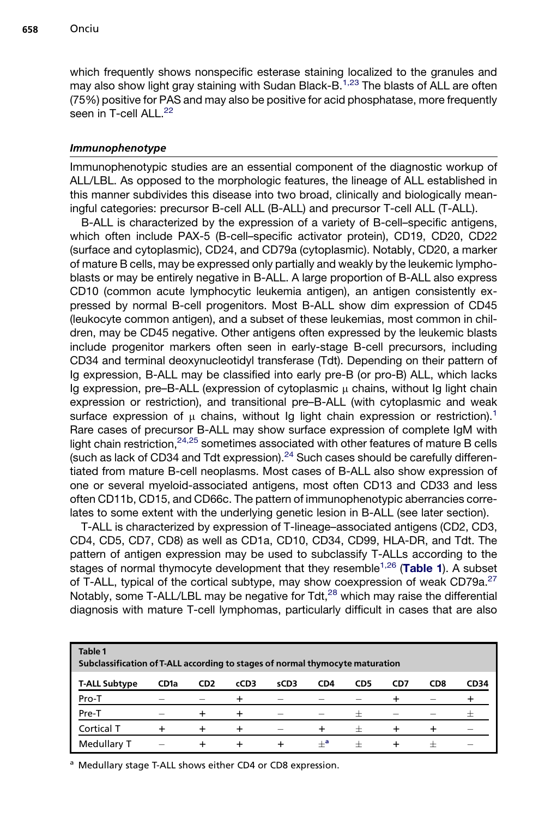which frequently shows nonspecific esterase staining localized to the granules and may also show light gray staining with Sudan Black-B.<sup>[1,23](#page-13-0)</sup> The blasts of ALL are often (75%) positive for PAS and may also be positive for acid phosphatase, more frequently seen in T-cell ALL.<sup>[22](#page-14-0)</sup>

## Immunophenotype

Immunophenotypic studies are an essential component of the diagnostic workup of ALL/LBL. As opposed to the morphologic features, the lineage of ALL established in this manner subdivides this disease into two broad, clinically and biologically meaningful categories: precursor B-cell ALL (B-ALL) and precursor T-cell ALL (T-ALL).

B-ALL is characterized by the expression of a variety of B-cell–specific antigens, which often include PAX-5 (B-cell–specific activator protein), CD19, CD20, CD22 (surface and cytoplasmic), CD24, and CD79a (cytoplasmic). Notably, CD20, a marker of mature B cells, may be expressed only partially and weakly by the leukemic lymphoblasts or may be entirely negative in B-ALL. A large proportion of B-ALL also express CD10 (common acute lymphocytic leukemia antigen), an antigen consistently expressed by normal B-cell progenitors. Most B-ALL show dim expression of CD45 (leukocyte common antigen), and a subset of these leukemias, most common in children, may be CD45 negative. Other antigens often expressed by the leukemic blasts include progenitor markers often seen in early-stage B-cell precursors, including CD34 and terminal deoxynucleotidyl transferase (Tdt). Depending on their pattern of Ig expression, B-ALL may be classified into early pre-B (or pro-B) ALL, which lacks Ig expression, pre–B-ALL (expression of cytoplasmic  $\mu$  chains, without Ig light chain expression or restriction), and transitional pre–B-ALL (with cytoplasmic and weak surface expression of  $\mu$  chains, without Ig light chain expression or restriction).<sup>[1](#page-13-0)</sup> Rare cases of precursor B-ALL may show surface expression of complete IgM with light chain restriction,  $24,25$  sometimes associated with other features of mature B cells (such as lack of CD34 and Tdt expression). $24$  Such cases should be carefully differentiated from mature B-cell neoplasms. Most cases of B-ALL also show expression of one or several myeloid-associated antigens, most often CD13 and CD33 and less often CD11b, CD15, and CD66c. The pattern of immunophenotypic aberrancies correlates to some extent with the underlying genetic lesion in B-ALL (see later section).

T-ALL is characterized by expression of T-lineage–associated antigens (CD2, CD3, CD4, CD5, CD7, CD8) as well as CD1a, CD10, CD34, CD99, HLA-DR, and Tdt. The pattern of antigen expression may be used to subclassify T-ALLs according to the stages of normal thymocyte development that they resemble<sup>[1,26](#page-13-0)</sup> (Table 1). A subset of T-ALL, typical of the cortical subtype, may show coexpression of weak CD79a.<sup>[27](#page-15-0)</sup> Notably, some T-ALL/LBL may be negative for Tdt, $^{28}$  $^{28}$  $^{28}$  which may raise the differential diagnosis with mature T-cell lymphomas, particularly difficult in cases that are also

| Table 1<br>Subclassification of T-ALL according to stages of normal thymocyte maturation |      |                 |      |                          |       |                    |     |                    |                                  |
|------------------------------------------------------------------------------------------|------|-----------------|------|--------------------------|-------|--------------------|-----|--------------------|----------------------------------|
| <b>T-ALL Subtype</b>                                                                     | CD1a | CD <sub>2</sub> | cCD3 | sCD3                     | CD4   | CD5                | CD7 | CD <sub>8</sub>    | <b>CD34</b>                      |
| Pro-T                                                                                    |      |                 |      | $\sim$                   |       |                    |     |                    |                                  |
| Pre-T                                                                                    |      |                 |      | $\sim$                   | -     | $\hspace{0.1mm} +$ |     |                    | $\hspace{0.1mm} +\hspace{0.1mm}$ |
| Cortical T                                                                               |      |                 |      | $\overline{\phantom{a}}$ |       | $\pm$              |     |                    |                                  |
| Medullary T                                                                              | -    |                 |      |                          | $+^a$ | $^+$               |     | $\hspace{0.1mm} +$ | $\sim$                           |

<sup>a</sup> Medullary stage T-ALL shows either CD4 or CD8 expression.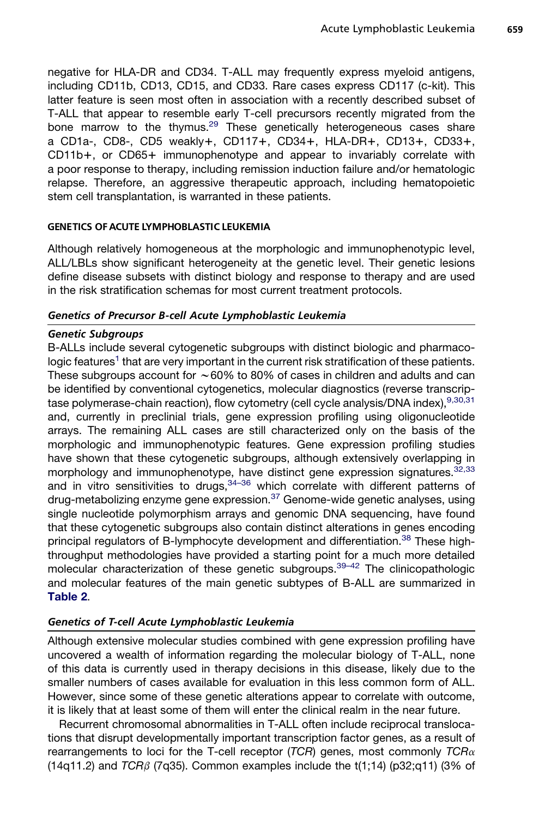negative for HLA-DR and CD34. T-ALL may frequently express myeloid antigens, including CD11b, CD13, CD15, and CD33. Rare cases express CD117 (c-kit). This latter feature is seen most often in association with a recently described subset of T-ALL that appear to resemble early T-cell precursors recently migrated from the bone marrow to the thymus.<sup>[29](#page-15-0)</sup> These genetically heterogeneous cases share a CD1a-, CD8-, CD5 weakly+, CD117+, CD34+, HLA-DR+, CD13+, CD33+,  $CD11b+$ , or  $CD65+$  immunophenotype and appear to invariably correlate with a poor response to therapy, including remission induction failure and/or hematologic relapse. Therefore, an aggressive therapeutic approach, including hematopoietic stem cell transplantation, is warranted in these patients.

#### GENETICS OF ACUTE LYMPHOBLASTIC LEUKEMIA

Although relatively homogeneous at the morphologic and immunophenotypic level, ALL/LBLs show significant heterogeneity at the genetic level. Their genetic lesions define disease subsets with distinct biology and response to therapy and are used in the risk stratification schemas for most current treatment protocols.

## Genetics of Precursor B-cell Acute Lymphoblastic Leukemia

#### Genetic Subgroups

B-ALLs include several cytogenetic subgroups with distinct biologic and pharmacologic features<sup>1</sup> that are very important in the current risk stratification of these patients. These subgroups account for  $\sim60\%$  to 80% of cases in children and adults and can be identified by conventional cytogenetics, molecular diagnostics (reverse transcrip-tase polymerase-chain reaction), flow cytometry (cell cycle analysis/DNA index), [9,30,31](#page-14-0) and, currently in preclinial trials, gene expression profiling using oligonucleotide arrays. The remaining ALL cases are still characterized only on the basis of the morphologic and immunophenotypic features. Gene expression profiling studies have shown that these cytogenetic subgroups, although extensively overlapping in morphology and immunophenotype, have distinct gene expression signatures.<sup>[32,33](#page-15-0)</sup> and in vitro sensitivities to drugs,  $34-36$  which correlate with different patterns of drug-metabolizing enzyme gene expression.[37](#page-15-0) Genome-wide genetic analyses, using single nucleotide polymorphism arrays and genomic DNA sequencing, have found that these cytogenetic subgroups also contain distinct alterations in genes encoding principal regulators of B-lymphocyte development and differentiation.<sup>[38](#page-15-0)</sup> These highthroughput methodologies have provided a starting point for a much more detailed molecular characterization of these genetic subgroups.<sup>39-42</sup> The clinicopathologic and molecular features of the main genetic subtypes of B-ALL are summarized in [Table 2](#page-5-0).

## Genetics of T-cell Acute Lymphoblastic Leukemia

Although extensive molecular studies combined with gene expression profiling have uncovered a wealth of information regarding the molecular biology of T-ALL, none of this data is currently used in therapy decisions in this disease, likely due to the smaller numbers of cases available for evaluation in this less common form of ALL. However, since some of these genetic alterations appear to correlate with outcome, it is likely that at least some of them will enter the clinical realm in the near future.

Recurrent chromosomal abnormalities in T-ALL often include reciprocal translocations that disrupt developmentally important transcription factor genes, as a result of rearrangements to loci for the T-cell receptor  $(TCR)$  genes, most commonly  $TCR\alpha$  $(14q11.2)$  and *TCR<sub>B</sub>* (7q35). Common examples include the t $(1;14)$  (p32;q11) (3% of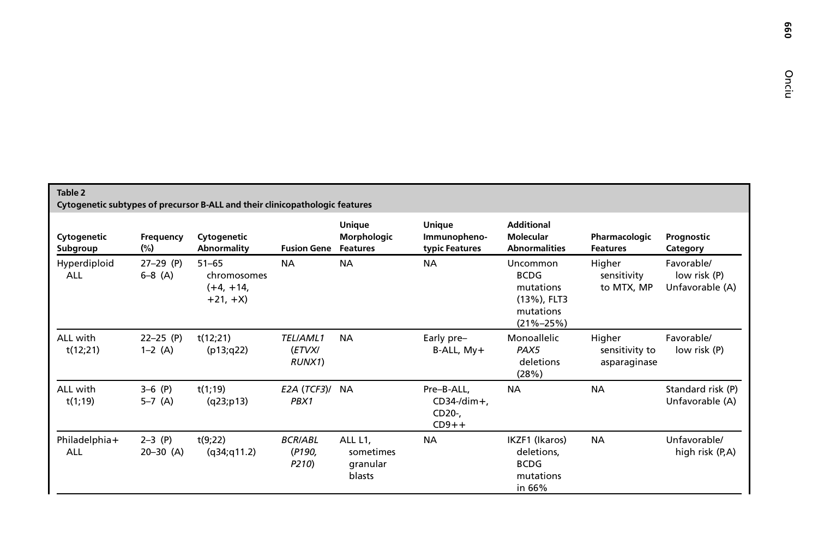|  | ၜၟ |
|--|----|
|  | S  |

<span id="page-5-0"></span>

| Table 2<br>Cytogenetic subtypes of precursor B-ALL and their clinicopathologic features |                          |                                                      |                                   |                                            |                                                   |                                                                                     |                                          |                                               |
|-----------------------------------------------------------------------------------------|--------------------------|------------------------------------------------------|-----------------------------------|--------------------------------------------|---------------------------------------------------|-------------------------------------------------------------------------------------|------------------------------------------|-----------------------------------------------|
| Cytogenetic<br>Subgroup                                                                 | Frequency<br>$(\%)$      | Cytogenetic<br>Abnormality                           | <b>Fusion Gene Features</b>       | Unique<br>Morphologic                      | Unique<br>Immunopheno-<br>typic Features          | <b>Additional</b><br>Molecular<br><b>Abnormalities</b>                              | Pharmacologic<br><b>Features</b>         | Prognostic<br>Category                        |
| Hyperdiploid<br>ALL                                                                     | $27-29$ (P)<br>$6-8$ (A) | $51 - 65$<br>chromosomes<br>$(+4, +14,$<br>$+21, +X$ | <b>NA</b>                         | <b>NA</b>                                  | <b>NA</b>                                         | Uncommon<br><b>BCDG</b><br>mutations<br>(13%), FLT3<br>mutations<br>$(21\% - 25\%)$ | Higher<br>sensitivity<br>to MTX, MP      | Favorable/<br>low risk (P)<br>Unfavorable (A) |
| ALL with<br>t(12;21)                                                                    | $22-25$ (P)<br>$1-2(A)$  | t(12;21)<br>(p13; q22)                               | TEL/AML1<br>(ETVX/<br>RUNX1)      | <b>NA</b>                                  | Early pre-<br>$B-ALL, My+$                        | Monoallelic<br>PAX5<br>deletions<br>(28%)                                           | Higher<br>sensitivity to<br>asparaginase | Favorable/<br>low risk (P)                    |
| ALL with<br>t(1, 19)                                                                    | $3-6$ (P)<br>$5-7$ (A)   | t(1, 19)<br>(q23;p13)                                | E2A (TCF3)/ NA<br>PBX1            |                                            | Pre-B-ALL,<br>$CD34$ -/dim+,<br>CD20-,<br>$CD9++$ | <b>NA</b>                                                                           | <b>NA</b>                                | Standard risk (P)<br>Unfavorable (A)          |
| Philadelphia+<br>ALL                                                                    | $2-3$ (P)<br>$20-30$ (A) | t(9;22)<br>(q34; q11.2)                              | <b>BCRIABL</b><br>(P190,<br>P210) | ALL L1,<br>sometimes<br>granular<br>blasts | <b>NA</b>                                         | IKZF1 (Ikaros)<br>deletions,<br><b>BCDG</b><br>mutations<br>in 66%                  | <b>NA</b>                                | Unfavorable/<br>high risk (P,A)               |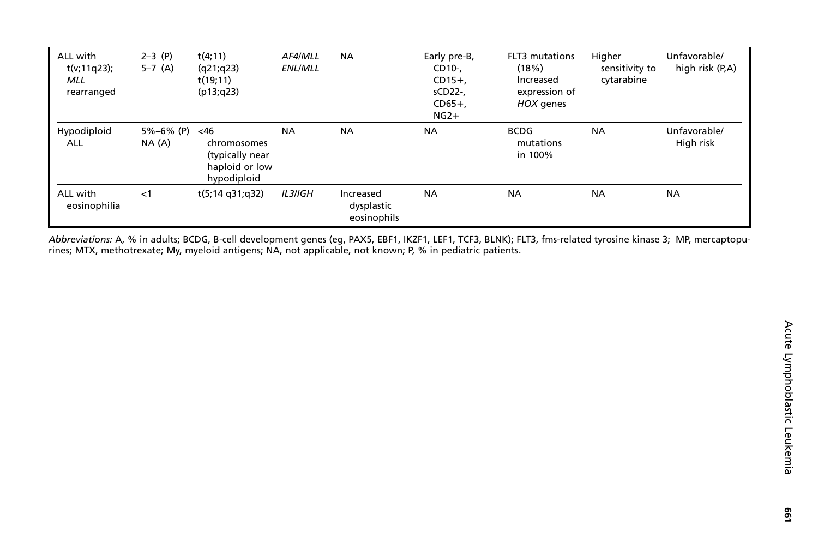| ALL with<br>t(v;11q23);<br>MLL<br>rearranged | $2-3$ (P)<br>$5-7$ (A)       | t(4;11)<br>(q21; q23)<br>t(19;11)<br>(p13; q23)                 | AF4/MLL<br><b>ENLIMLL</b> | <b>NA</b>                              | Early pre-B,<br>CD10-,<br>$CD15+$<br>sCD22-,<br>$CD65+$<br>$NG2+$ | FLT3 mutations<br>(18%)<br>Increased<br>expression of<br>HOX genes | Higher<br>sensitivity to<br>cytarabine | Unfavorable/<br>high risk (P,A) |
|----------------------------------------------|------------------------------|-----------------------------------------------------------------|---------------------------|----------------------------------------|-------------------------------------------------------------------|--------------------------------------------------------------------|----------------------------------------|---------------------------------|
| Hypodiploid<br>ALL                           | $5\% - 6\%$ (P) <46<br>NA(A) | chromosomes<br>(typically near<br>haploid or low<br>hypodiploid | <b>NA</b>                 | <b>NA</b>                              | <b>NA</b>                                                         | <b>BCDG</b><br>mutations<br>in 100%                                | <b>NA</b>                              | Unfavorable/<br>High risk       |
| ALL with<br>eosinophilia                     | $<$ 1                        | t(5;14 g31;g32)                                                 | <b>IL3/IGH</b>            | Increased<br>dysplastic<br>eosinophils | <b>NA</b>                                                         | <b>NA</b>                                                          | <b>NA</b>                              | <b>NA</b>                       |

Abbreviations: A, % in adults; BCDG, B-cell development genes (eg, PAX5, EBF1, IKZF1, LEF1, TCF3, BLNK); FLT3, fms-related tyrosine kinase 3; MP, mercaptopurines; MTX, methotrexate; My, myeloid antigens; NA, not applicable, not known; P, % in pediatric patients.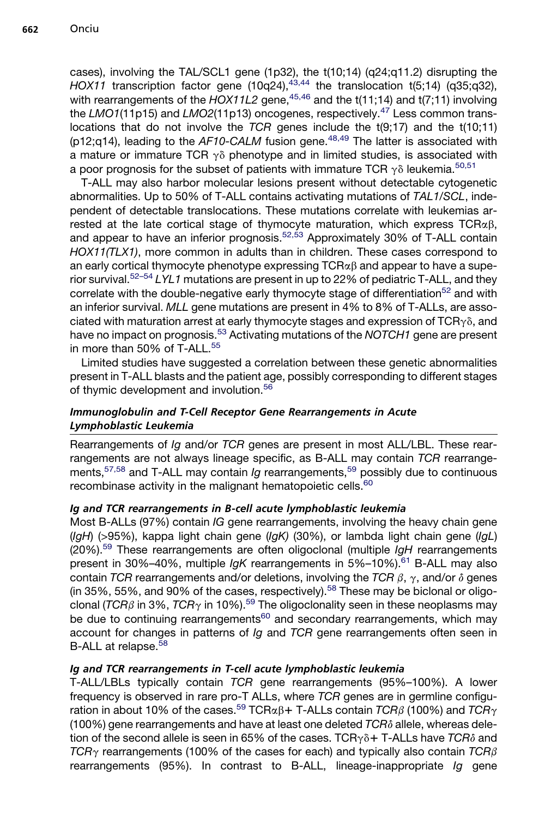cases), involving the TAL/SCL1 gene (1p32), the t(10;14) (q24;q11.2) disrupting the  $HOX11$  transcription factor gene  $(10q24),$ <sup>[43,44](#page-16-0)</sup> the translocation t(5;14) (q35;q32), with rearrangements of the  $HOX11L2$  gene,  $45,46$  and the  $t(11,14)$  and  $t(7,11)$  involving the *LMO1*(11p15) and *LMO2*(11p13) oncogenes, respectively.[47](#page-16-0) Less common translocations that do not involve the *TCR* genes include the t(9;17) and the t(10;11) (p12;q14), leading to the *AF10-CALM* fusion gene.<sup>[48,49](#page-16-0)</sup> The latter is associated with a mature or immature TCR  $\gamma\delta$  phenotype and in limited studies, is associated with a poor prognosis for the subset of patients with immature TCR  $\gamma \delta$  leukemia.<sup>[50,51](#page-16-0)</sup>

T-ALL may also harbor molecular lesions present without detectable cytogenetic abnormalities. Up to 50% of T-ALL contains activating mutations of *TAL1/SCL*, independent of detectable translocations. These mutations correlate with leukemias arrested at the late cortical stage of thymocyte maturation, which express  $TCR\alpha\beta$ , and appear to have an inferior prognosis.<sup>[52,53](#page-16-0)</sup> Approximately 30% of T-ALL contain *HOX11(TLX1)*, more common in adults than in children. These cases correspond to an early cortical thymocyte phenotype expressing  $TCR\alpha\beta$  and appear to have a superior survival.[52–54](#page-16-0) *LYL1* mutations are present in up to 22% of pediatric T-ALL, and they correlate with the double-negative early thymocyte stage of differentiation<sup>[52](#page-16-0)</sup> and with an inferior survival. *MLL* gene mutations are present in 4% to 8% of T-ALLs, are associated with maturation arrest at early thymocyte stages and expression of  $TCR_{\gamma\delta}$ , and have no impact on prognosis.[53](#page-16-0) Activating mutations of the *NOTCH1* gene are present in more than 50% of T-ALL.<sup>[55](#page-16-0)</sup>

Limited studies have suggested a correlation between these genetic abnormalities present in T-ALL blasts and the patient age, possibly corresponding to different stages of thymic development and involution.<sup>[56](#page-16-0)</sup>

# Immunoglobulin and T-Cell Receptor Gene Rearrangements in Acute Lymphoblastic Leukemia

Rearrangements of *Ig* and/or *TCR* genes are present in most ALL/LBL. These rearrangements are not always lineage specific, as B-ALL may contain *TCR* rearrange-ments,<sup>[57,58](#page-16-0)</sup> and T-ALL may contain *Ig* rearrangements,<sup>[59](#page-17-0)</sup> possibly due to continuous recombinase activity in the malignant hematopoietic cells.<sup>[60](#page-17-0)</sup>

## Ig and TCR rearrangements in B-cell acute lymphoblastic leukemia

Most B-ALLs (97%) contain *IG* gene rearrangements, involving the heavy chain gene (*IgH*) (>95%), kappa light chain gene (*IgK)* (30%), or lambda light chain gene (*IgL*) (20%)[.59](#page-17-0) These rearrangements are often oligoclonal (multiple *IgH* rearrangements present in 30%–40%, multiple *IgK* rearrangements in 5%–10%).<sup>[61](#page-17-0)</sup> B-ALL may also contain *TCR* rearrangements and/or deletions, involving the *TCR*  $\beta$ ,  $\gamma$ , and/or  $\delta$  genes (in 35%, 55%, and 90% of the cases, respectively).<sup>[58](#page-16-0)</sup> These may be biclonal or oligoclonal ( $TCR\beta$  in 3%,  $TCR\gamma$  in 10%).<sup>[59](#page-17-0)</sup> The oligoclonality seen in these neoplasms may be due to continuing rearrangements<sup>[60](#page-17-0)</sup> and secondary rearrangements, which may account for changes in patterns of *Ig* and *TCR* gene rearrangements often seen in B-ALL at relapse.<sup>[58](#page-16-0)</sup>

## Ig and TCR rearrangements in T-cell acute lymphoblastic leukemia

T-ALL/LBLs typically contain *TCR* gene rearrangements (95%–100%). A lower frequency is observed in rare pro-T ALLs, where *TCR* genes are in germline configu-ration in about 10% of the cases.<sup>[59](#page-17-0)</sup> TCR $\alpha\beta$ + T-ALLs contain *TCR* $\beta$  (100%) and *TCR*<sub> $\gamma$ </sub>  $(100%)$  gene rearrangements and have at least one deleted  $TCR\delta$  allele, whereas deletion of the second allele is seen in 65% of the cases.  $TCR<sub>Y</sub>$ <sup>3</sup> + T-ALLs have  $TCR<sub>0</sub>$ <sup>3</sup> and *TCR* $\gamma$  rearrangements (100% of the cases for each) and typically also contain *TCR* $\beta$ rearrangements (95%). In contrast to B-ALL, lineage-inappropriate *Ig* gene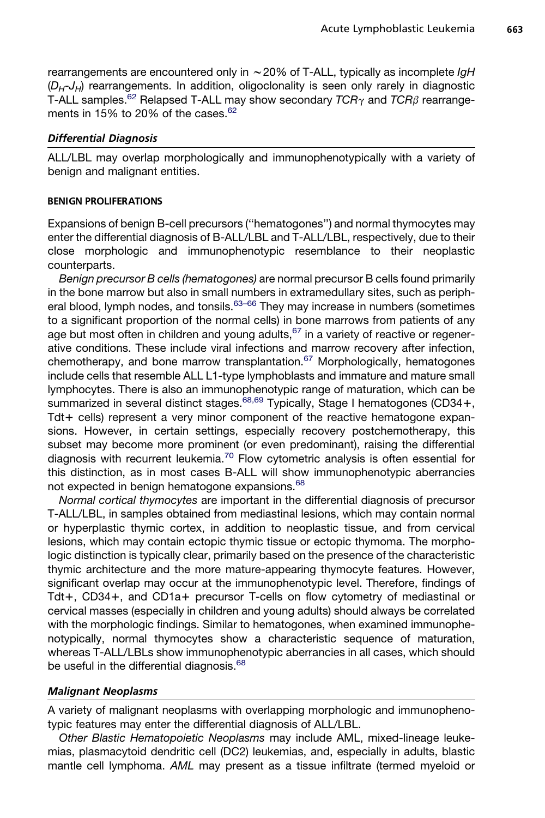rearrangements are encountered only in ~20% of T-ALL, typically as incomplete *IgH*  $(D_H - J_H)$  rearrangements. In addition, oligoclonality is seen only rarely in diagnostic T-ALL samples.<sup>[62](#page-17-0)</sup> Relapsed T-ALL may show secondary  $TCR<sub>Y</sub>$  and  $TCR<sub>\beta</sub>$  rearrangements in 15% to 20% of the cases. $62$ 

#### Differential Diagnosis

ALL/LBL may overlap morphologically and immunophenotypically with a variety of benign and malignant entities.

#### BENIGN PROLIFERATIONS

Expansions of benign B-cell precursors (''hematogones'') and normal thymocytes may enter the differential diagnosis of B-ALL/LBL and T-ALL/LBL, respectively, due to their close morphologic and immunophenotypic resemblance to their neoplastic counterparts.

*Benign precursor B cells (hematogones)* are normal precursor B cells found primarily in the bone marrow but also in small numbers in extramedullary sites, such as peripheral blood, lymph nodes, and tonsils. $63-66$  They may increase in numbers (sometimes to a significant proportion of the normal cells) in bone marrows from patients of any age but most often in children and young adults,  $67$  in a variety of reactive or regenerative conditions. These include viral infections and marrow recovery after infection, chemotherapy, and bone marrow transplantation.<sup>[67](#page-17-0)</sup> Morphologically, hematogones include cells that resemble ALL L1-type lymphoblasts and immature and mature small lymphocytes. There is also an immunophenotypic range of maturation, which can be summarized in several distinct stages.<sup>[68,69](#page-17-0)</sup> Typically, Stage I hematogones (CD34+,  $Tdt +$  cells) represent a very minor component of the reactive hematogone expansions. However, in certain settings, especially recovery postchemotherapy, this subset may become more prominent (or even predominant), raising the differential diagnosis with recurrent leukemia.<sup>[70](#page-17-0)</sup> Flow cytometric analysis is often essential for this distinction, as in most cases B-ALL will show immunophenotypic aberrancies not expected in benign hematogone expansions.<sup>[68](#page-17-0)</sup>

*Normal cortical thymocytes* are important in the differential diagnosis of precursor T-ALL/LBL, in samples obtained from mediastinal lesions, which may contain normal or hyperplastic thymic cortex, in addition to neoplastic tissue, and from cervical lesions, which may contain ectopic thymic tissue or ectopic thymoma. The morphologic distinction is typically clear, primarily based on the presence of the characteristic thymic architecture and the more mature-appearing thymocyte features. However, significant overlap may occur at the immunophenotypic level. Therefore, findings of Tdt+, CD34+, and CD1a+ precursor T-cells on flow cytometry of mediastinal or cervical masses (especially in children and young adults) should always be correlated with the morphologic findings. Similar to hematogones, when examined immunophenotypically, normal thymocytes show a characteristic sequence of maturation, whereas T-ALL/LBLs show immunophenotypic aberrancies in all cases, which should be useful in the differential diagnosis.<sup>[68](#page-17-0)</sup>

#### Malignant Neoplasms

A variety of malignant neoplasms with overlapping morphologic and immunophenotypic features may enter the differential diagnosis of ALL/LBL.

*Other Blastic Hematopoietic Neoplasms* may include AML, mixed-lineage leukemias, plasmacytoid dendritic cell (DC2) leukemias, and, especially in adults, blastic mantle cell lymphoma. *AML* may present as a tissue infiltrate (termed myeloid or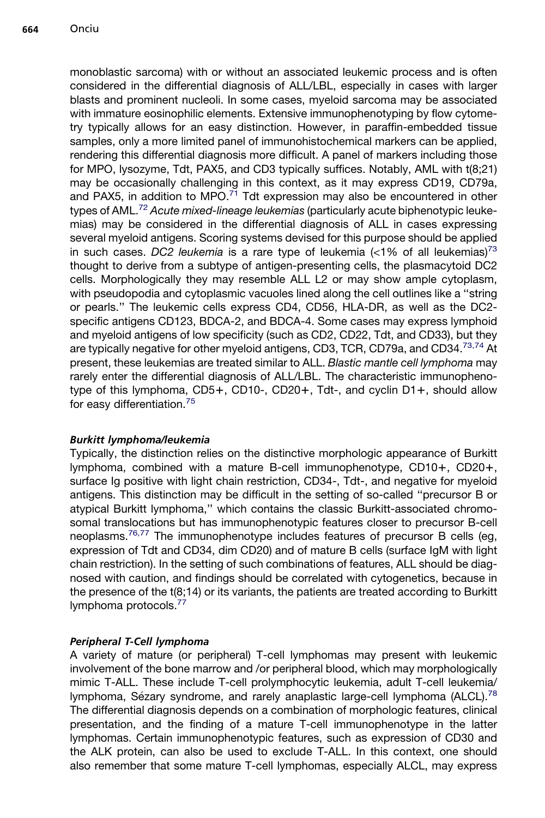monoblastic sarcoma) with or without an associated leukemic process and is often considered in the differential diagnosis of ALL/LBL, especially in cases with larger blasts and prominent nucleoli. In some cases, myeloid sarcoma may be associated with immature eosinophilic elements. Extensive immunophenotyping by flow cytometry typically allows for an easy distinction. However, in paraffin-embedded tissue samples, only a more limited panel of immunohistochemical markers can be applied, rendering this differential diagnosis more difficult. A panel of markers including those for MPO, lysozyme, Tdt, PAX5, and CD3 typically suffices. Notably, AML with t(8;21) may be occasionally challenging in this context, as it may express CD19, CD79a, and PAX5, in addition to MPO. $^{71}$  $^{71}$  $^{71}$  Tdt expression may also be encountered in other types of AML.[72](#page-17-0) *Acute mixed-lineage leukemias* (particularly acute biphenotypic leukemias) may be considered in the differential diagnosis of ALL in cases expressing several myeloid antigens. Scoring systems devised for this purpose should be applied in such cases. *DC2 leukemia* is a rare type of leukemia  $\left\langle \langle 1\% \rangle \right\rangle$  of all leukemias)<sup>[73](#page-17-0)</sup> thought to derive from a subtype of antigen-presenting cells, the plasmacytoid DC2 cells. Morphologically they may resemble ALL L2 or may show ample cytoplasm, with pseudopodia and cytoplasmic vacuoles lined along the cell outlines like a ''string or pearls.'' The leukemic cells express CD4, CD56, HLA-DR, as well as the DC2 specific antigens CD123, BDCA-2, and BDCA-4. Some cases may express lymphoid and myeloid antigens of low specificity (such as CD2, CD22, Tdt, and CD33), but they are typically negative for other myeloid antigens, CD3, TCR, CD79a, and CD34.<sup>[73,74](#page-17-0)</sup> At present, these leukemias are treated similar to ALL. *Blastic mantle cell lymphoma* may rarely enter the differential diagnosis of ALL/LBL. The characteristic immunophenotype of this lymphoma,  $CDS+$ ,  $CDD0-$ ,  $CDD20+$ ,  $Tdt-$ , and cyclin  $D1+$ , should allow for easy differentiation.[75](#page-18-0)

# Burkitt lymphoma/leukemia

Typically, the distinction relies on the distinctive morphologic appearance of Burkitt lymphoma, combined with a mature B-cell immunophenotype, CD10+, CD20+, surface Ig positive with light chain restriction, CD34-, Tdt-, and negative for myeloid antigens. This distinction may be difficult in the setting of so-called ''precursor B or atypical Burkitt lymphoma,'' which contains the classic Burkitt-associated chromosomal translocations but has immunophenotypic features closer to precursor B-cell neoplasms.<sup>[76,77](#page-18-0)</sup> The immunophenotype includes features of precursor B cells (eg, expression of Tdt and CD34, dim CD20) and of mature B cells (surface IgM with light chain restriction). In the setting of such combinations of features, ALL should be diagnosed with caution, and findings should be correlated with cytogenetics, because in the presence of the t(8;14) or its variants, the patients are treated according to Burkitt lymphoma protocols.<sup>[77](#page-18-0)</sup>

# Peripheral T-Cell lymphoma

A variety of mature (or peripheral) T-cell lymphomas may present with leukemic involvement of the bone marrow and /or peripheral blood, which may morphologically mimic T-ALL. These include T-cell prolymphocytic leukemia, adult T-cell leukemia/ lymphoma, Sézary syndrome, and rarely anaplastic large-cell lymphoma (ALCL).<sup>[78](#page-18-0)</sup> The differential diagnosis depends on a combination of morphologic features, clinical presentation, and the finding of a mature T-cell immunophenotype in the latter lymphomas. Certain immunophenotypic features, such as expression of CD30 and the ALK protein, can also be used to exclude T-ALL. In this context, one should also remember that some mature T-cell lymphomas, especially ALCL, may express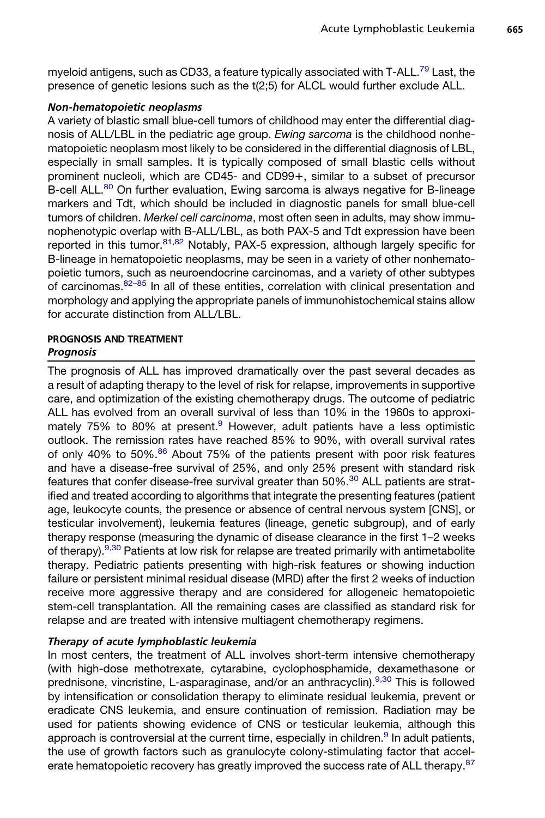myeloid antigens, such as CD33, a feature typically associated with T-ALL.<sup>[79](#page-18-0)</sup> Last, the presence of genetic lesions such as the t(2;5) for ALCL would further exclude ALL.

## Non-hematopoietic neoplasms

A variety of blastic small blue-cell tumors of childhood may enter the differential diagnosis of ALL/LBL in the pediatric age group. *Ewing sarcoma* is the childhood nonhematopoietic neoplasm most likely to be considered in the differential diagnosis of LBL, especially in small samples. It is typically composed of small blastic cells without prominent nucleoli, which are CD45- and CD99+, similar to a subset of precursor B-cell ALL.<sup>80</sup> On further evaluation, Ewing sarcoma is always negative for B-lineage markers and Tdt, which should be included in diagnostic panels for small blue-cell tumors of children. *Merkel cell carcinoma*, most often seen in adults, may show immunophenotypic overlap with B-ALL/LBL, as both PAX-5 and Tdt expression have been reported in this tumor.  $81,82$  Notably, PAX-5 expression, although largely specific for B-lineage in hematopoietic neoplasms, may be seen in a variety of other nonhematopoietic tumors, such as neuroendocrine carcinomas, and a variety of other subtypes of carcinomas.<sup>[82–85](#page-18-0)</sup> In all of these entities, correlation with clinical presentation and morphology and applying the appropriate panels of immunohistochemical stains allow for accurate distinction from ALL/LBL.

## PROGNOSIS AND TREATMENT Prognosis

The prognosis of ALL has improved dramatically over the past several decades as a result of adapting therapy to the level of risk for relapse, improvements in supportive care, and optimization of the existing chemotherapy drugs. The outcome of pediatric ALL has evolved from an overall survival of less than 10% in the 1960s to approxi-mately 75% to 80% at present.<sup>[9](#page-14-0)</sup> However, adult patients have a less optimistic outlook. The remission rates have reached 85% to 90%, with overall survival rates of only 40% to 50%.<sup>86</sup> About 75% of the patients present with poor risk features and have a disease-free survival of 25%, and only 25% present with standard risk features that confer disease-free survival greater than 50%.<sup>[30](#page-15-0)</sup> ALL patients are stratified and treated according to algorithms that integrate the presenting features (patient age, leukocyte counts, the presence or absence of central nervous system [CNS], or testicular involvement), leukemia features (lineage, genetic subgroup), and of early therapy response (measuring the dynamic of disease clearance in the first 1–2 weeks of therapy).<sup>[9,30](#page-14-0)</sup> Patients at low risk for relapse are treated primarily with antimetabolite therapy. Pediatric patients presenting with high-risk features or showing induction failure or persistent minimal residual disease (MRD) after the first 2 weeks of induction receive more aggressive therapy and are considered for allogeneic hematopoietic stem-cell transplantation. All the remaining cases are classified as standard risk for relapse and are treated with intensive multiagent chemotherapy regimens.

# Therapy of acute lymphoblastic leukemia

In most centers, the treatment of ALL involves short-term intensive chemotherapy (with high-dose methotrexate, cytarabine, cyclophosphamide, dexamethasone or prednisone, vincristine, L-asparaginase, and/or an anthracyclin).[9,30](#page-14-0) This is followed by intensification or consolidation therapy to eliminate residual leukemia, prevent or eradicate CNS leukemia, and ensure continuation of remission. Radiation may be used for patients showing evidence of CNS or testicular leukemia, although this approach is controversial at the current time, especially in children. $9$  In adult patients, the use of growth factors such as granulocyte colony-stimulating factor that accel-erate hematopoietic recovery has greatly improved the success rate of ALL therapy.<sup>[87](#page-18-0)</sup>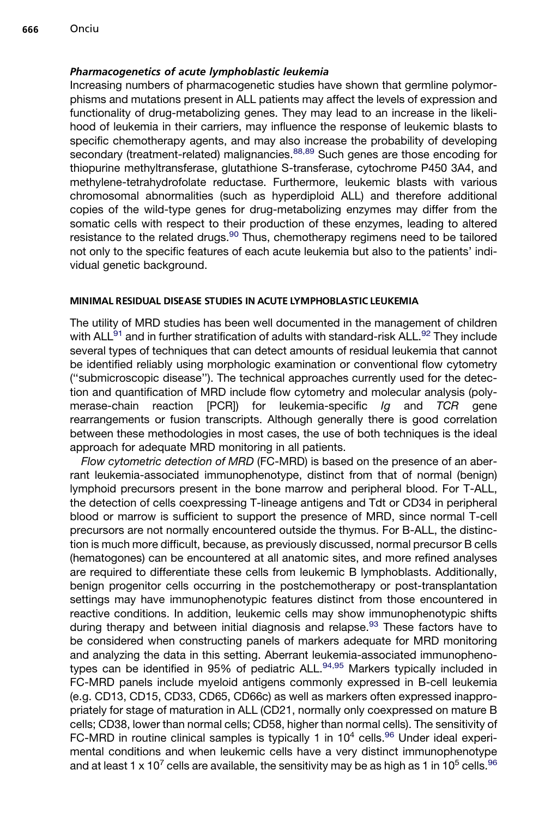## Pharmacogenetics of acute lymphoblastic leukemia

Increasing numbers of pharmacogenetic studies have shown that germline polymorphisms and mutations present in ALL patients may affect the levels of expression and functionality of drug-metabolizing genes. They may lead to an increase in the likelihood of leukemia in their carriers, may influence the response of leukemic blasts to specific chemotherapy agents, and may also increase the probability of developing secondary (treatment-related) malignancies.<sup>[88,89](#page-18-0)</sup> Such genes are those encoding for thiopurine methyltransferase, glutathione S-transferase, cytochrome P450 3A4, and methylene-tetrahydrofolate reductase. Furthermore, leukemic blasts with various chromosomal abnormalities (such as hyperdiploid ALL) and therefore additional copies of the wild-type genes for drug-metabolizing enzymes may differ from the somatic cells with respect to their production of these enzymes, leading to altered resistance to the related drugs.<sup>[90](#page-18-0)</sup> Thus, chemotherapy regimens need to be tailored not only to the specific features of each acute leukemia but also to the patients' individual genetic background.

## MINIMAL RESIDUAL DISEASE STUDIES IN ACUTE LYMPHOBLASTIC LEUKEMIA

The utility of MRD studies has been well documented in the management of children with  $ALL<sup>91</sup>$  $ALL<sup>91</sup>$  $ALL<sup>91</sup>$  and in further stratification of adults with standard-risk  $ALL<sup>92</sup>$  $ALL<sup>92</sup>$  $ALL<sup>92</sup>$  They include several types of techniques that can detect amounts of residual leukemia that cannot be identified reliably using morphologic examination or conventional flow cytometry (''submicroscopic disease''). The technical approaches currently used for the detection and quantification of MRD include flow cytometry and molecular analysis (polymerase-chain reaction [PCR]) for leukemia-specific *Ig* and *TCR* gene rearrangements or fusion transcripts. Although generally there is good correlation between these methodologies in most cases, the use of both techniques is the ideal approach for adequate MRD monitoring in all patients.

*Flow cytometric detection of MRD* (FC-MRD) is based on the presence of an aberrant leukemia-associated immunophenotype, distinct from that of normal (benign) lymphoid precursors present in the bone marrow and peripheral blood. For T-ALL, the detection of cells coexpressing T-lineage antigens and Tdt or CD34 in peripheral blood or marrow is sufficient to support the presence of MRD, since normal T-cell precursors are not normally encountered outside the thymus. For B-ALL, the distinction is much more difficult, because, as previously discussed, normal precursor B cells (hematogones) can be encountered at all anatomic sites, and more refined analyses are required to differentiate these cells from leukemic B lymphoblasts. Additionally, benign progenitor cells occurring in the postchemotherapy or post-transplantation settings may have immunophenotypic features distinct from those encountered in reactive conditions. In addition, leukemic cells may show immunophenotypic shifts during therapy and between initial diagnosis and relapse.<sup>[93](#page-19-0)</sup> These factors have to be considered when constructing panels of markers adequate for MRD monitoring and analyzing the data in this setting. Aberrant leukemia-associated immunopheno-types can be identified in 95% of pediatric ALL.<sup>[94,95](#page-19-0)</sup> Markers typically included in FC-MRD panels include myeloid antigens commonly expressed in B-cell leukemia (e.g. CD13, CD15, CD33, CD65, CD66c) as well as markers often expressed inappropriately for stage of maturation in ALL (CD21, normally only coexpressed on mature B cells; CD38, lower than normal cells; CD58, higher than normal cells). The sensitivity of FC-MRD in routine clinical samples is typically 1 in  $10^4$  cells.<sup>[96](#page-19-0)</sup> Under ideal experimental conditions and when leukemic cells have a very distinct immunophenotype and at least 1 x 10<sup>7</sup> cells are available, the sensitivity may be as high as 1 in 10<sup>5</sup> cells.<sup>[96](#page-19-0)</sup>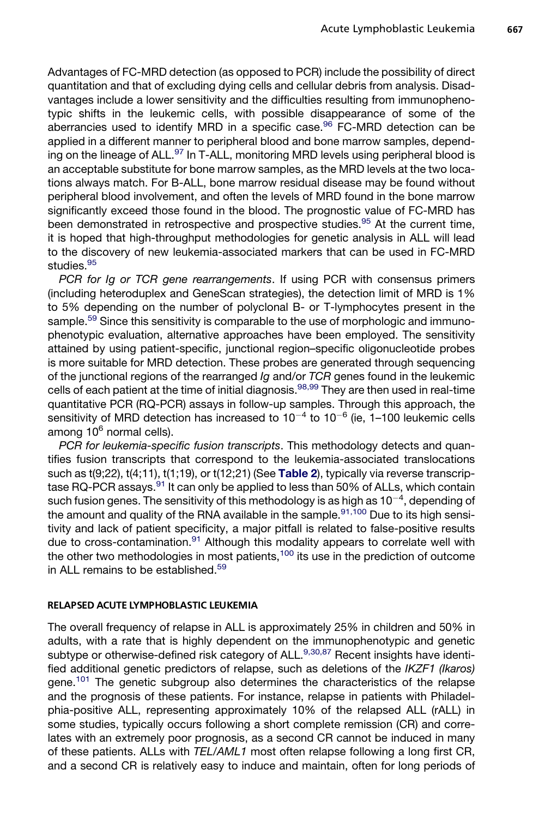Advantages of FC-MRD detection (as opposed to PCR) include the possibility of direct quantitation and that of excluding dying cells and cellular debris from analysis. Disadvantages include a lower sensitivity and the difficulties resulting from immunophenotypic shifts in the leukemic cells, with possible disappearance of some of the aberrancies used to identify MRD in a specific case.<sup>[96](#page-19-0)</sup> FC-MRD detection can be applied in a different manner to peripheral blood and bone marrow samples, depend-ing on the lineage of ALL.<sup>[97](#page-19-0)</sup> In T-ALL, monitoring MRD levels using peripheral blood is an acceptable substitute for bone marrow samples, as the MRD levels at the two locations always match. For B-ALL, bone marrow residual disease may be found without peripheral blood involvement, and often the levels of MRD found in the bone marrow significantly exceed those found in the blood. The prognostic value of FC-MRD has been demonstrated in retrospective and prospective studies.<sup>[95](#page-19-0)</sup> At the current time, it is hoped that high-throughput methodologies for genetic analysis in ALL will lead to the discovery of new leukemia-associated markers that can be used in FC-MRD studies.<sup>[95](#page-19-0)</sup>

*PCR for Ig or TCR gene rearrangements*. If using PCR with consensus primers (including heteroduplex and GeneScan strategies), the detection limit of MRD is 1% to 5% depending on the number of polyclonal B- or T-lymphocytes present in the sample.<sup>[59](#page-17-0)</sup> Since this sensitivity is comparable to the use of morphologic and immunophenotypic evaluation, alternative approaches have been employed. The sensitivity attained by using patient-specific, junctional region–specific oligonucleotide probes is more suitable for MRD detection. These probes are generated through sequencing of the junctional regions of the rearranged *Ig* and/or *TCR* genes found in the leukemic cells of each patient at the time of initial diagnosis.<sup>[98,99](#page-19-0)</sup> They are then used in real-time quantitative PCR (RQ-PCR) assays in follow-up samples. Through this approach, the sensitivity of MRD detection has increased to  $10^{-4}$  to  $10^{-6}$  (ie, 1–100 leukemic cells among  $10^6$  normal cells).

*PCR for leukemia-specific fusion transcripts*. This methodology detects and quantifies fusion transcripts that correspond to the leukemia-associated translocations such as  $t(9;22)$ ,  $t(4;11)$ ,  $t(1;19)$ , or  $t(12;21)$  (See [Table 2](#page-5-0)), typically via reverse transcrip-tase RQ-PCR assays.<sup>[91](#page-18-0)</sup> It can only be applied to less than 50% of ALLs, which contain such fusion genes. The sensitivity of this methodology is as high as 10 $^{-4}$ , depending of the amount and quality of the RNA available in the sample. $91,100$  Due to its high sensitivity and lack of patient specificity, a major pitfall is related to false-positive results due to cross-contamination. $91$  Although this modality appears to correlate well with the other two methodologies in most patients, $100$  its use in the prediction of outcome in ALL remains to be established.<sup>[59](#page-17-0)</sup>

#### RELAPSED ACUTE LYMPHOBLASTIC LEUKEMIA

The overall frequency of relapse in ALL is approximately 25% in children and 50% in adults, with a rate that is highly dependent on the immunophenotypic and genetic subtype or otherwise-defined risk category of ALL.<sup>[9,30,87](#page-14-0)</sup> Recent insights have identified additional genetic predictors of relapse, such as deletions of the *IKZF1 (Ikaros)* gene.<sup>101</sup> The genetic subgroup also determines the characteristics of the relapse and the prognosis of these patients. For instance, relapse in patients with Philadelphia-positive ALL, representing approximately 10% of the relapsed ALL (rALL) in some studies, typically occurs following a short complete remission (CR) and correlates with an extremely poor prognosis, as a second CR cannot be induced in many of these patients. ALLs with *TEL/AML1* most often relapse following a long first CR, and a second CR is relatively easy to induce and maintain, often for long periods of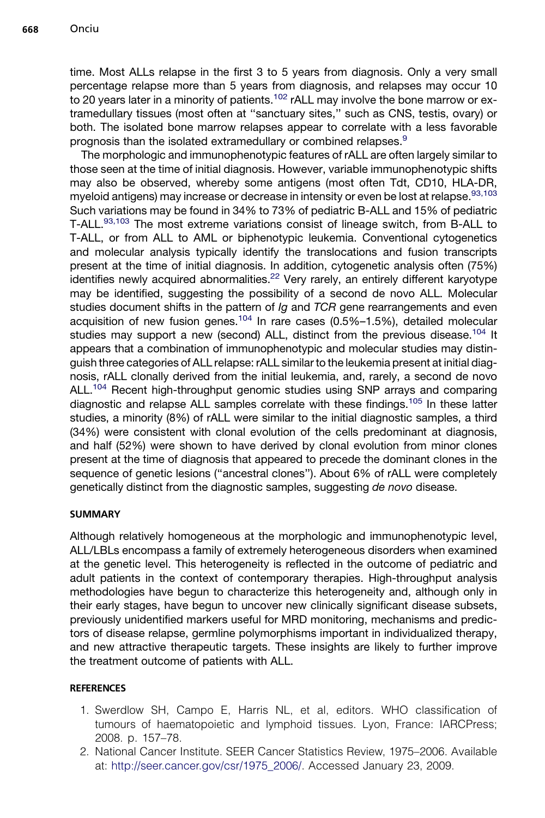<span id="page-13-0"></span>time. Most ALLs relapse in the first 3 to 5 years from diagnosis. Only a very small percentage relapse more than 5 years from diagnosis, and relapses may occur 10 to 20 years later in a minority of patients.<sup>[102](#page-19-0)</sup> rALL may involve the bone marrow or extramedullary tissues (most often at ''sanctuary sites,'' such as CNS, testis, ovary) or both. The isolated bone marrow relapses appear to correlate with a less favorable prognosis than the isolated extramedullary or combined relapses.[9](#page-14-0)

The morphologic and immunophenotypic features of rALL are often largely similar to those seen at the time of initial diagnosis. However, variable immunophenotypic shifts may also be observed, whereby some antigens (most often Tdt, CD10, HLA-DR, myeloid antigens) may increase or decrease in intensity or even be lost at relapse.  $93,103$ Such variations may be found in 34% to 73% of pediatric B-ALL and 15% of pediatric T-ALL.[93,103](#page-19-0) The most extreme variations consist of lineage switch, from B-ALL to T-ALL, or from ALL to AML or biphenotypic leukemia. Conventional cytogenetics and molecular analysis typically identify the translocations and fusion transcripts present at the time of initial diagnosis. In addition, cytogenetic analysis often (75%) identifies newly acquired abnormalities.<sup>22</sup> Very rarely, an entirely different karyotype may be identified, suggesting the possibility of a second de novo ALL. Molecular studies document shifts in the pattern of *Ig* and *TCR* gene rearrangements and even acquisition of new fusion genes.<sup>[104](#page-19-0)</sup> In rare cases  $(0.5\% -1.5\%)$ , detailed molecular studies may support a new (second) ALL, distinct from the previous disease.<sup>104</sup> It appears that a combination of immunophenotypic and molecular studies may distinguish three categories of ALL relapse: rALL similar to the leukemia present at initial diagnosis, rALL clonally derived from the initial leukemia, and, rarely, a second de novo ALL.<sup>104</sup> Recent high-throughput genomic studies using SNP arrays and comparing diagnostic and relapse ALL samples correlate with these findings.<sup>[105](#page-19-0)</sup> In these latter studies, a minority (8%) of rALL were similar to the initial diagnostic samples, a third (34%) were consistent with clonal evolution of the cells predominant at diagnosis, and half (52%) were shown to have derived by clonal evolution from minor clones present at the time of diagnosis that appeared to precede the dominant clones in the sequence of genetic lesions (''ancestral clones''). About 6% of rALL were completely genetically distinct from the diagnostic samples, suggesting *de novo* disease.

## **SUMMARY**

Although relatively homogeneous at the morphologic and immunophenotypic level, ALL/LBLs encompass a family of extremely heterogeneous disorders when examined at the genetic level. This heterogeneity is reflected in the outcome of pediatric and adult patients in the context of contemporary therapies. High-throughput analysis methodologies have begun to characterize this heterogeneity and, although only in their early stages, have begun to uncover new clinically significant disease subsets, previously unidentified markers useful for MRD monitoring, mechanisms and predictors of disease relapse, germline polymorphisms important in individualized therapy, and new attractive therapeutic targets. These insights are likely to further improve the treatment outcome of patients with ALL.

## **REFERENCES**

- 1. Swerdlow SH, Campo E, Harris NL, et al, editors. WHO classification of tumours of haematopoietic and lymphoid tissues. Lyon, France: IARCPress; 2008. p. 157–78.
- 2. National Cancer Institute. SEER Cancer Statistics Review, 1975–2006. Available at: [http://seer.cancer.gov/csr/1975\\_2006/.](http://seer.cancer.gov/csr/1975_2006/) Accessed January 23, 2009.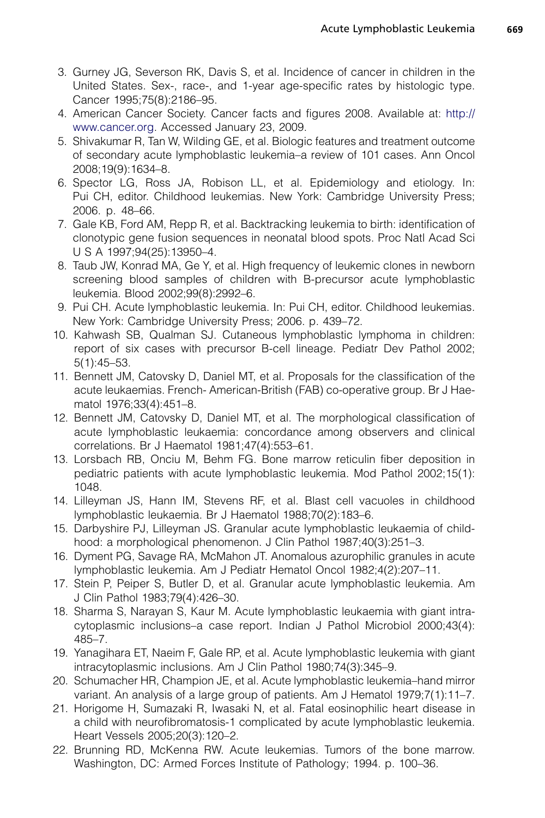- <span id="page-14-0"></span>3. Gurney JG, Severson RK, Davis S, et al. Incidence of cancer in children in the United States. Sex-, race-, and 1-year age-specific rates by histologic type. Cancer 1995;75(8):2186–95.
- 4. American Cancer Society. Cancer facts and figures 2008. Available at: [http://](http://www.cancer.org) [www.cancer.org.](http://www.cancer.org) Accessed January 23, 2009.
- 5. Shivakumar R, Tan W, Wilding GE, et al. Biologic features and treatment outcome of secondary acute lymphoblastic leukemia–a review of 101 cases. Ann Oncol 2008;19(9):1634–8.
- 6. Spector LG, Ross JA, Robison LL, et al. Epidemiology and etiology. In: Pui CH, editor. Childhood leukemias. New York: Cambridge University Press; 2006. p. 48–66.
- 7. Gale KB, Ford AM, Repp R, et al. Backtracking leukemia to birth: identification of clonotypic gene fusion sequences in neonatal blood spots. Proc Natl Acad Sci U S A 1997;94(25):13950–4.
- 8. Taub JW, Konrad MA, Ge Y, et al. High frequency of leukemic clones in newborn screening blood samples of children with B-precursor acute lymphoblastic leukemia. Blood 2002;99(8):2992–6.
- 9. Pui CH. Acute lymphoblastic leukemia. In: Pui CH, editor. Childhood leukemias. New York: Cambridge University Press; 2006. p. 439–72.
- 10. Kahwash SB, Qualman SJ. Cutaneous lymphoblastic lymphoma in children: report of six cases with precursor B-cell lineage. Pediatr Dev Pathol 2002; 5(1):45–53.
- 11. Bennett JM, Catovsky D, Daniel MT, et al. Proposals for the classification of the acute leukaemias. French- American-British (FAB) co-operative group. Br J Haematol 1976;33(4):451–8.
- 12. Bennett JM, Catovsky D, Daniel MT, et al. The morphological classification of acute lymphoblastic leukaemia: concordance among observers and clinical correlations. Br J Haematol 1981;47(4):553–61.
- 13. Lorsbach RB, Onciu M, Behm FG. Bone marrow reticulin fiber deposition in pediatric patients with acute lymphoblastic leukemia. Mod Pathol 2002;15(1): 1048.
- 14. Lilleyman JS, Hann IM, Stevens RF, et al. Blast cell vacuoles in childhood lymphoblastic leukaemia. Br J Haematol 1988;70(2):183–6.
- 15. Darbyshire PJ, Lilleyman JS. Granular acute lymphoblastic leukaemia of childhood: a morphological phenomenon. J Clin Pathol 1987;40(3):251–3.
- 16. Dyment PG, Savage RA, McMahon JT. Anomalous azurophilic granules in acute lymphoblastic leukemia. Am J Pediatr Hematol Oncol 1982;4(2):207–11.
- 17. Stein P, Peiper S, Butler D, et al. Granular acute lymphoblastic leukemia. Am J Clin Pathol 1983;79(4):426–30.
- 18. Sharma S, Narayan S, Kaur M. Acute lymphoblastic leukaemia with giant intracytoplasmic inclusions–a case report. Indian J Pathol Microbiol 2000;43(4): 485–7.
- 19. Yanagihara ET, Naeim F, Gale RP, et al. Acute lymphoblastic leukemia with giant intracytoplasmic inclusions. Am J Clin Pathol 1980;74(3):345–9.
- 20. Schumacher HR, Champion JE, et al. Acute lymphoblastic leukemia–hand mirror variant. An analysis of a large group of patients. Am J Hematol 1979;7(1):11–7.
- 21. Horigome H, Sumazaki R, Iwasaki N, et al. Fatal eosinophilic heart disease in a child with neurofibromatosis-1 complicated by acute lymphoblastic leukemia. Heart Vessels 2005;20(3):120–2.
- 22. Brunning RD, McKenna RW. Acute leukemias. Tumors of the bone marrow. Washington, DC: Armed Forces Institute of Pathology; 1994. p. 100–36.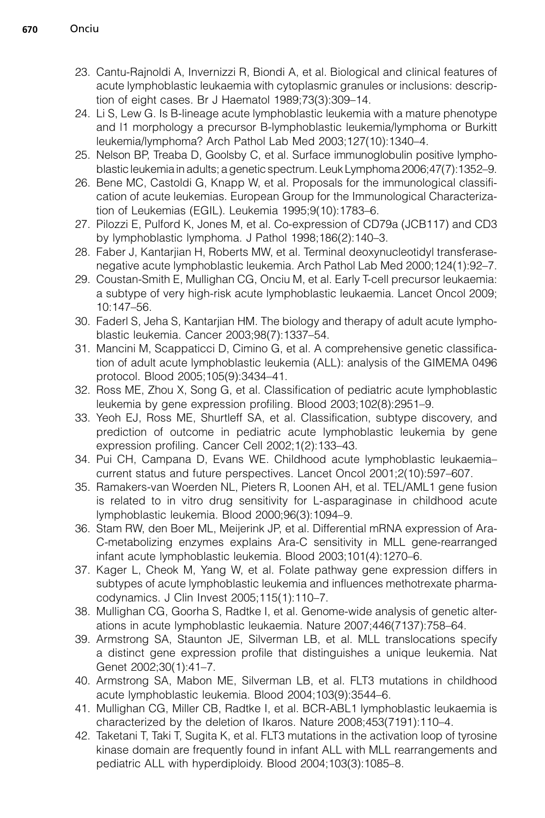- <span id="page-15-0"></span>23. Cantu-Rajnoldi A, Invernizzi R, Biondi A, et al. Biological and clinical features of acute lymphoblastic leukaemia with cytoplasmic granules or inclusions: description of eight cases. Br J Haematol 1989;73(3):309–14.
- 24. Li S, Lew G. Is B-lineage acute lymphoblastic leukemia with a mature phenotype and l1 morphology a precursor B-lymphoblastic leukemia/lymphoma or Burkitt leukemia/lymphoma? Arch Pathol Lab Med 2003;127(10):1340–4.
- 25. Nelson BP, Treaba D, Goolsby C, et al. Surface immunoglobulin positive lymphoblastic leukemia in adults; a genetic spectrum. Leuk Lymphoma 2006;47(7):1352–9.
- 26. Bene MC, Castoldi G, Knapp W, et al. Proposals for the immunological classification of acute leukemias. European Group for the Immunological Characterization of Leukemias (EGIL). Leukemia 1995;9(10):1783–6.
- 27. Pilozzi E, Pulford K, Jones M, et al. Co-expression of CD79a (JCB117) and CD3 by lymphoblastic lymphoma. J Pathol 1998;186(2):140–3.
- 28. Faber J, Kantarjian H, Roberts MW, et al. Terminal deoxynucleotidyl transferasenegative acute lymphoblastic leukemia. Arch Pathol Lab Med 2000;124(1):92–7.
- 29. Coustan-Smith E, Mullighan CG, Onciu M, et al. Early T-cell precursor leukaemia: a subtype of very high-risk acute lymphoblastic leukaemia. Lancet Oncol 2009; 10:147–56.
- 30. Faderl S, Jeha S, Kantarjian HM. The biology and therapy of adult acute lymphoblastic leukemia. Cancer 2003;98(7):1337–54.
- 31. Mancini M, Scappaticci D, Cimino G, et al. A comprehensive genetic classification of adult acute lymphoblastic leukemia (ALL): analysis of the GIMEMA 0496 protocol. Blood 2005;105(9):3434–41.
- 32. Ross ME, Zhou X, Song G, et al. Classification of pediatric acute lymphoblastic leukemia by gene expression profiling. Blood 2003;102(8):2951–9.
- 33. Yeoh EJ, Ross ME, Shurtleff SA, et al. Classification, subtype discovery, and prediction of outcome in pediatric acute lymphoblastic leukemia by gene expression profiling. Cancer Cell 2002;1(2):133–43.
- 34. Pui CH, Campana D, Evans WE. Childhood acute lymphoblastic leukaemia– current status and future perspectives. Lancet Oncol 2001;2(10):597–607.
- 35. Ramakers-van Woerden NL, Pieters R, Loonen AH, et al. TEL/AML1 gene fusion is related to in vitro drug sensitivity for L-asparaginase in childhood acute lymphoblastic leukemia. Blood 2000;96(3):1094–9.
- 36. Stam RW, den Boer ML, Meijerink JP, et al. Differential mRNA expression of Ara-C-metabolizing enzymes explains Ara-C sensitivity in MLL gene-rearranged infant acute lymphoblastic leukemia. Blood 2003;101(4):1270–6.
- 37. Kager L, Cheok M, Yang W, et al. Folate pathway gene expression differs in subtypes of acute lymphoblastic leukemia and influences methotrexate pharmacodynamics. J Clin Invest 2005;115(1):110–7.
- 38. Mullighan CG, Goorha S, Radtke I, et al. Genome-wide analysis of genetic alterations in acute lymphoblastic leukaemia. Nature 2007;446(7137):758–64.
- 39. Armstrong SA, Staunton JE, Silverman LB, et al. MLL translocations specify a distinct gene expression profile that distinguishes a unique leukemia. Nat Genet 2002;30(1):41–7.
- 40. Armstrong SA, Mabon ME, Silverman LB, et al. FLT3 mutations in childhood acute lymphoblastic leukemia. Blood 2004;103(9):3544–6.
- 41. Mullighan CG, Miller CB, Radtke I, et al. BCR-ABL1 lymphoblastic leukaemia is characterized by the deletion of Ikaros. Nature 2008;453(7191):110–4.
- 42. Taketani T, Taki T, Sugita K, et al. FLT3 mutations in the activation loop of tyrosine kinase domain are frequently found in infant ALL with MLL rearrangements and pediatric ALL with hyperdiploidy. Blood 2004;103(3):1085–8.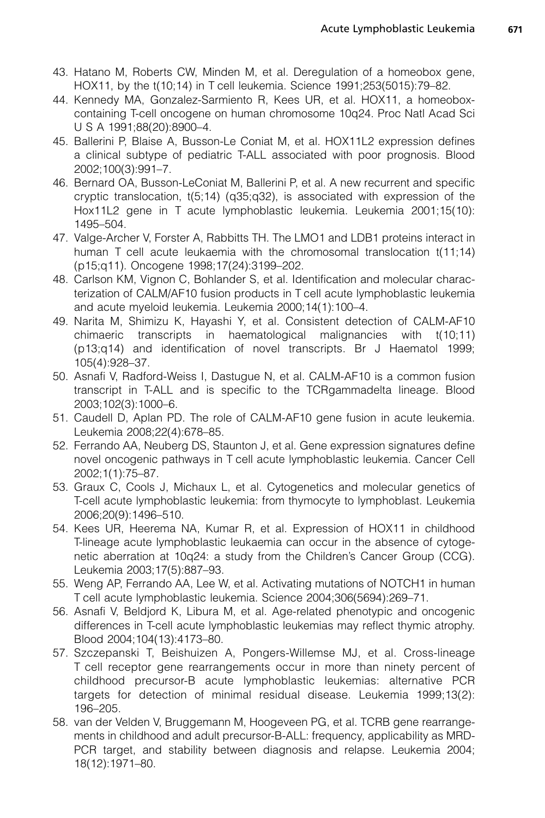- <span id="page-16-0"></span>43. Hatano M, Roberts CW, Minden M, et al. Deregulation of a homeobox gene, HOX11, by the t(10;14) in T cell leukemia. Science 1991;253(5015):79–82.
- 44. Kennedy MA, Gonzalez-Sarmiento R, Kees UR, et al. HOX11, a homeoboxcontaining T-cell oncogene on human chromosome 10q24. Proc Natl Acad Sci U S A 1991;88(20):8900–4.
- 45. Ballerini P, Blaise A, Busson-Le Coniat M, et al. HOX11L2 expression defines a clinical subtype of pediatric T-ALL associated with poor prognosis. Blood 2002;100(3):991–7.
- 46. Bernard OA, Busson-LeConiat M, Ballerini P, et al. A new recurrent and specific cryptic translocation, t(5;14) (q35;q32), is associated with expression of the Hox11L2 gene in T acute lymphoblastic leukemia. Leukemia 2001;15(10): 1495–504.
- 47. Valge-Archer V, Forster A, Rabbitts TH. The LMO1 and LDB1 proteins interact in human T cell acute leukaemia with the chromosomal translocation t(11;14) (p15;q11). Oncogene 1998;17(24):3199–202.
- 48. Carlson KM, Vignon C, Bohlander S, et al. Identification and molecular characterization of CALM/AF10 fusion products in T cell acute lymphoblastic leukemia and acute myeloid leukemia. Leukemia 2000;14(1):100–4.
- 49. Narita M, Shimizu K, Hayashi Y, et al. Consistent detection of CALM-AF10 chimaeric transcripts in haematological malignancies with t(10;11) (p13;q14) and identification of novel transcripts. Br J Haematol 1999; 105(4):928–37.
- 50. Asnafi V, Radford-Weiss I, Dastugue N, et al. CALM-AF10 is a common fusion transcript in T-ALL and is specific to the TCRgammadelta lineage. Blood 2003;102(3):1000–6.
- 51. Caudell D, Aplan PD. The role of CALM-AF10 gene fusion in acute leukemia. Leukemia 2008;22(4):678–85.
- 52. Ferrando AA, Neuberg DS, Staunton J, et al. Gene expression signatures define novel oncogenic pathways in T cell acute lymphoblastic leukemia. Cancer Cell 2002;1(1):75–87.
- 53. Graux C, Cools J, Michaux L, et al. Cytogenetics and molecular genetics of T-cell acute lymphoblastic leukemia: from thymocyte to lymphoblast. Leukemia 2006;20(9):1496–510.
- 54. Kees UR, Heerema NA, Kumar R, et al. Expression of HOX11 in childhood T-lineage acute lymphoblastic leukaemia can occur in the absence of cytogenetic aberration at 10q24: a study from the Children's Cancer Group (CCG). Leukemia 2003;17(5):887–93.
- 55. Weng AP, Ferrando AA, Lee W, et al. Activating mutations of NOTCH1 in human T cell acute lymphoblastic leukemia. Science 2004;306(5694):269–71.
- 56. Asnafi V, Beldjord K, Libura M, et al. Age-related phenotypic and oncogenic differences in T-cell acute lymphoblastic leukemias may reflect thymic atrophy. Blood 2004;104(13):4173–80.
- 57. Szczepanski T, Beishuizen A, Pongers-Willemse MJ, et al. Cross-lineage T cell receptor gene rearrangements occur in more than ninety percent of childhood precursor-B acute lymphoblastic leukemias: alternative PCR targets for detection of minimal residual disease. Leukemia 1999;13(2): 196–205.
- 58. van der Velden V, Bruggemann M, Hoogeveen PG, et al. TCRB gene rearrangements in childhood and adult precursor-B-ALL: frequency, applicability as MRD-PCR target, and stability between diagnosis and relapse. Leukemia 2004; 18(12):1971–80.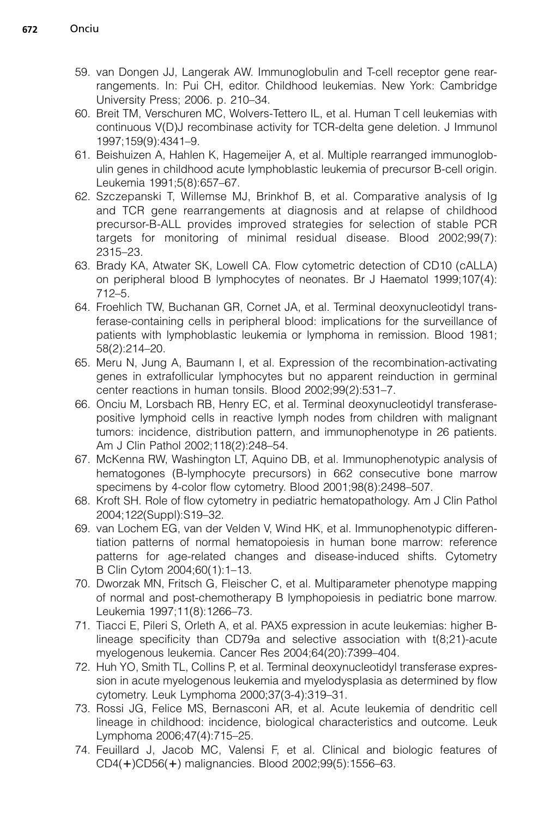- <span id="page-17-0"></span>59. van Dongen JJ, Langerak AW. Immunoglobulin and T-cell receptor gene rearrangements. In: Pui CH, editor. Childhood leukemias. New York: Cambridge University Press; 2006. p. 210–34.
- 60. Breit TM, Verschuren MC, Wolvers-Tettero IL, et al. Human T cell leukemias with continuous V(D)J recombinase activity for TCR-delta gene deletion. J Immunol 1997;159(9):4341–9.
- 61. Beishuizen A, Hahlen K, Hagemeijer A, et al. Multiple rearranged immunoglobulin genes in childhood acute lymphoblastic leukemia of precursor B-cell origin. Leukemia 1991;5(8):657–67.
- 62. Szczepanski T, Willemse MJ, Brinkhof B, et al. Comparative analysis of Ig and TCR gene rearrangements at diagnosis and at relapse of childhood precursor-B-ALL provides improved strategies for selection of stable PCR targets for monitoring of minimal residual disease. Blood 2002;99(7): 2315–23.
- 63. Brady KA, Atwater SK, Lowell CA. Flow cytometric detection of CD10 (cALLA) on peripheral blood B lymphocytes of neonates. Br J Haematol 1999;107(4): 712–5.
- 64. Froehlich TW, Buchanan GR, Cornet JA, et al. Terminal deoxynucleotidyl transferase-containing cells in peripheral blood: implications for the surveillance of patients with lymphoblastic leukemia or lymphoma in remission. Blood 1981; 58(2):214–20.
- 65. Meru N, Jung A, Baumann I, et al. Expression of the recombination-activating genes in extrafollicular lymphocytes but no apparent reinduction in germinal center reactions in human tonsils. Blood 2002;99(2):531–7.
- 66. Onciu M, Lorsbach RB, Henry EC, et al. Terminal deoxynucleotidyl transferasepositive lymphoid cells in reactive lymph nodes from children with malignant tumors: incidence, distribution pattern, and immunophenotype in 26 patients. Am J Clin Pathol 2002;118(2):248–54.
- 67. McKenna RW, Washington LT, Aquino DB, et al. Immunophenotypic analysis of hematogones (B-lymphocyte precursors) in 662 consecutive bone marrow specimens by 4-color flow cytometry. Blood 2001;98(8):2498–507.
- 68. Kroft SH. Role of flow cytometry in pediatric hematopathology. Am J Clin Pathol 2004;122(Suppl):S19–32.
- 69. van Lochem EG, van der Velden V, Wind HK, et al. Immunophenotypic differentiation patterns of normal hematopoiesis in human bone marrow: reference patterns for age-related changes and disease-induced shifts. Cytometry B Clin Cytom 2004;60(1):1–13.
- 70. Dworzak MN, Fritsch G, Fleischer C, et al. Multiparameter phenotype mapping of normal and post-chemotherapy B lymphopoiesis in pediatric bone marrow. Leukemia 1997;11(8):1266–73.
- 71. Tiacci E, Pileri S, Orleth A, et al. PAX5 expression in acute leukemias: higher Blineage specificity than CD79a and selective association with t(8;21)-acute myelogenous leukemia. Cancer Res 2004;64(20):7399–404.
- 72. Huh YO, Smith TL, Collins P, et al. Terminal deoxynucleotidyl transferase expression in acute myelogenous leukemia and myelodysplasia as determined by flow cytometry. Leuk Lymphoma 2000;37(3-4):319–31.
- 73. Rossi JG, Felice MS, Bernasconi AR, et al. Acute leukemia of dendritic cell lineage in childhood: incidence, biological characteristics and outcome. Leuk Lymphoma 2006;47(4):715–25.
- 74. Feuillard J, Jacob MC, Valensi F, et al. Clinical and biologic features of CD4(+)CD56(+) malignancies. Blood 2002;99(5):1556–63.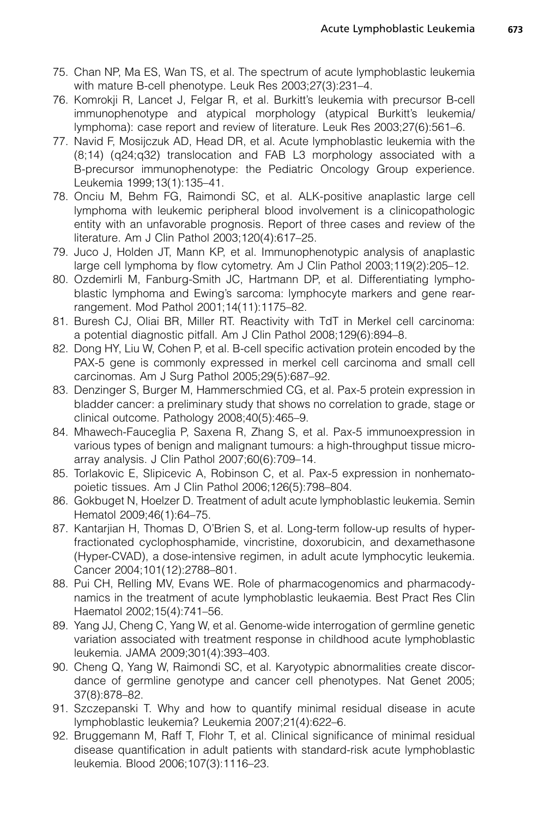- <span id="page-18-0"></span>75. Chan NP, Ma ES, Wan TS, et al. The spectrum of acute lymphoblastic leukemia with mature B-cell phenotype. Leuk Res 2003;27(3):231–4.
- 76. Komrokji R, Lancet J, Felgar R, et al. Burkitt's leukemia with precursor B-cell immunophenotype and atypical morphology (atypical Burkitt's leukemia/ lymphoma): case report and review of literature. Leuk Res 2003;27(6):561–6.
- 77. Navid F, Mosijczuk AD, Head DR, et al. Acute lymphoblastic leukemia with the (8;14) (q24;q32) translocation and FAB L3 morphology associated with a B-precursor immunophenotype: the Pediatric Oncology Group experience. Leukemia 1999;13(1):135–41.
- 78. Onciu M, Behm FG, Raimondi SC, et al. ALK-positive anaplastic large cell lymphoma with leukemic peripheral blood involvement is a clinicopathologic entity with an unfavorable prognosis. Report of three cases and review of the literature. Am J Clin Pathol 2003;120(4):617–25.
- 79. Juco J, Holden JT, Mann KP, et al. Immunophenotypic analysis of anaplastic large cell lymphoma by flow cytometry. Am J Clin Pathol 2003;119(2):205–12.
- 80. Ozdemirli M, Fanburg-Smith JC, Hartmann DP, et al. Differentiating lymphoblastic lymphoma and Ewing's sarcoma: lymphocyte markers and gene rearrangement. Mod Pathol 2001;14(11):1175–82.
- 81. Buresh CJ, Oliai BR, Miller RT. Reactivity with TdT in Merkel cell carcinoma: a potential diagnostic pitfall. Am J Clin Pathol 2008;129(6):894–8.
- 82. Dong HY, Liu W, Cohen P, et al. B-cell specific activation protein encoded by the PAX-5 gene is commonly expressed in merkel cell carcinoma and small cell carcinomas. Am J Surg Pathol 2005;29(5):687–92.
- 83. Denzinger S, Burger M, Hammerschmied CG, et al. Pax-5 protein expression in bladder cancer: a preliminary study that shows no correlation to grade, stage or clinical outcome. Pathology 2008;40(5):465–9.
- 84. Mhawech-Fauceglia P, Saxena R, Zhang S, et al. Pax-5 immunoexpression in various types of benign and malignant tumours: a high-throughput tissue microarray analysis. J Clin Pathol 2007;60(6):709–14.
- 85. Torlakovic E, Slipicevic A, Robinson C, et al. Pax-5 expression in nonhematopoietic tissues. Am J Clin Pathol 2006;126(5):798–804.
- 86. Gokbuget N, Hoelzer D. Treatment of adult acute lymphoblastic leukemia. Semin Hematol 2009;46(1):64–75.
- 87. Kantarjian H, Thomas D, O'Brien S, et al. Long-term follow-up results of hyperfractionated cyclophosphamide, vincristine, doxorubicin, and dexamethasone (Hyper-CVAD), a dose-intensive regimen, in adult acute lymphocytic leukemia. Cancer 2004;101(12):2788–801.
- 88. Pui CH, Relling MV, Evans WE. Role of pharmacogenomics and pharmacodynamics in the treatment of acute lymphoblastic leukaemia. Best Pract Res Clin Haematol 2002;15(4):741–56.
- 89. Yang JJ, Cheng C, Yang W, et al. Genome-wide interrogation of germline genetic variation associated with treatment response in childhood acute lymphoblastic leukemia. JAMA 2009;301(4):393–403.
- 90. Cheng Q, Yang W, Raimondi SC, et al. Karyotypic abnormalities create discordance of germline genotype and cancer cell phenotypes. Nat Genet 2005; 37(8):878–82.
- 91. Szczepanski T. Why and how to quantify minimal residual disease in acute lymphoblastic leukemia? Leukemia 2007;21(4):622–6.
- 92. Bruggemann M, Raff T, Flohr T, et al. Clinical significance of minimal residual disease quantification in adult patients with standard-risk acute lymphoblastic leukemia. Blood 2006;107(3):1116–23.